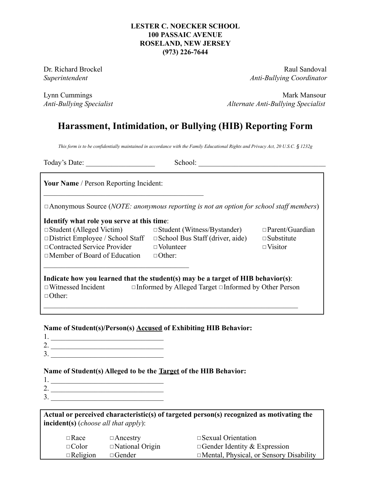#### **LESTER C. NOECKER SCHOOL 100 PASSAIC AVENUE ROSELAND, NEW JERSEY (973) 226-7644**

Dr. Richard Brockel **Raul Sandoval** Raul Sandoval *Superintendent Anti-Bullying Coordinator*

Lynn Cummings **Mark Mansour** Mark Mansour *Anti-Bullying Specialist Alternate Anti-Bullying Specialist*

# **Harassment, Intimidation, or Bullying (HIB) Reporting Form**

This form is to be confidentially maintained in accordance with the Family Educational Rights and Privacy Act, 20 U.S.C. § 1232g

Today's Date: \_\_\_\_\_\_\_\_\_\_\_\_\_\_\_\_\_\_\_ School: \_\_\_\_\_\_\_\_\_\_\_\_\_\_\_\_\_\_\_\_\_\_\_\_\_\_\_\_\_\_\_\_\_\_\_

**Your Name** / Person Reporting Incident:

◻Anonymous Source (*NOTE: anonymous reporting is not an option for school staff members*)

#### **Identify what role you serve at this time**:

 $\mathcal{L}_\text{max}$ 

◻Member of Board of Education ◻Other:

◻Student (Alleged Victim) ◻Student (Witness/Bystander) ◻Parent/Guardian □District Employee / School Staff □School Bus Staff (driver, aide) □Substitute ◻Contracted Service Provider ◻Volunteer ◻Visitor

### **Indicate how you learned that the student(s) may be a target of HIB behavior(s)**: ◻Witnessed Incident ◻Informed by Alleged Target ◻Informed by Other Person ◻Other:

 $\mathcal{L}_\text{max} = \mathcal{L}_\text{max} = \mathcal{L}_\text{max} = \mathcal{L}_\text{max} = \mathcal{L}_\text{max} = \mathcal{L}_\text{max} = \mathcal{L}_\text{max} = \mathcal{L}_\text{max} = \mathcal{L}_\text{max} = \mathcal{L}_\text{max} = \mathcal{L}_\text{max} = \mathcal{L}_\text{max} = \mathcal{L}_\text{max} = \mathcal{L}_\text{max} = \mathcal{L}_\text{max} = \mathcal{L}_\text{max} = \mathcal{L}_\text{max} = \mathcal{L}_\text{max} = \mathcal{$ 

## **Name of Student(s)/Person(s) Accused of Exhibiting HIB Behavior:**

\_\_\_\_\_\_\_\_\_\_\_\_\_\_\_\_\_\_\_\_\_\_\_\_\_\_\_\_\_\_\_\_\_\_\_\_\_\_\_\_\_\_\_\_

- 1. \_\_\_\_\_\_\_\_\_\_\_\_\_\_\_\_\_\_\_\_\_\_\_\_\_\_\_\_\_\_\_
- 2. \_\_\_\_\_\_\_\_\_\_\_\_\_\_\_\_\_\_\_\_\_\_\_\_\_\_\_\_\_\_\_
- $3.$

## **Name of Student(s) Alleged to be the Target of the HIB Behavior:**

- 1. \_\_\_\_\_\_\_\_\_\_\_\_\_\_\_\_\_\_\_\_\_\_\_\_\_\_\_\_\_\_\_
- 2. \_\_\_\_\_\_\_\_\_\_\_\_\_\_\_\_\_\_\_\_\_\_\_\_\_\_\_\_\_\_\_
- 3. \_\_\_\_\_\_\_\_\_\_\_\_\_\_\_\_\_\_\_\_\_\_\_\_\_\_\_\_\_\_\_

**Actual or perceived characteristic(s) of targeted person(s) recognized as motivating the incident(s)** (*choose all that apply*):

| $\Box$ Race     | $\Box$ Ancestry        | $\square$ Sexual Orientation                   |
|-----------------|------------------------|------------------------------------------------|
| $\Box$ Color    | $\Box$ National Origin | $\Box$ Gender Identity & Expression            |
| $\Box$ Religion | $\Box$ Gender          | $\Box$ Mental, Physical, or Sensory Disability |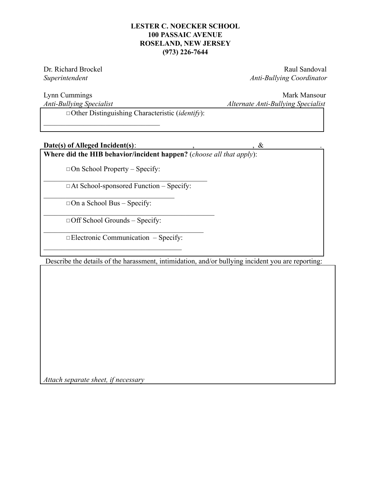#### **LESTER C. NOECKER SCHOOL 100 PASSAIC AVENUE ROSELAND, NEW JERSEY (973) 226-7644**

Dr. Richard Brockel **Raul Sandoval** Raul Sandoval *Superintendent Anti-Bullying Coordinator*

Lynn Cummings Mark Mansour *Anti-Bullying Specialist Alternate Anti-Bullying Specialist*

◻Other Distinguishing Characteristic (*identify*):

#### Date(s) of Alleged Incident(s):  $\&$

 $\mathcal{L}_\text{max}$ 

**Where did the HIB behavior/incident happen?** (*choose all that apply*):

 $\Box$  On School Property – Specify:

 $\mathcal{L}_\text{max}$  and the contract of the contract of the contract of the contract of the contract of the contract of the contract of the contract of the contract of the contract of the contract of the contract of the contrac ◻At School-sponsored Function – Specify:

 $\mathcal{L}_\text{max}$  and the contract of the contract of the contract of the contract of the contract of the contract of the contract of the contract of the contract of the contract of the contract of the contract of the contrac

 $\mathcal{L}_\text{max}$  $\Box$  On a School Bus – Specify:

◻Off School Grounds – Specify:

 $\mathcal{L}_\text{max}$ 

 $\mathcal{L}_\text{max}$  and the contract of the contract of the contract of the contract of the contract of the contract of the contract of the contract of the contract of the contract of the contract of the contract of the contrac ◻Electronic Communication – Specify:

Describe the details of the harassment, intimidation, and/or bullying incident you are reporting:

*Attach separate sheet, if necessary*